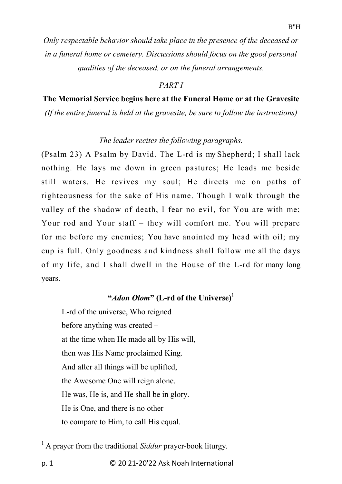*Only respectable behavior should take place in the presence of the deceased or in a funeral home or cemetery. Discussions should focus on the good personal qualities of the deceased, or on the funeral arrangements.*

### *PART I*

# **The Memorial Service begins here at the Funeral Home or at the Gravesite**

*(If the entire funeral is held at the gravesite, be sure to follow the instructions)*

### *The leader recites the following paragraphs.*

(Psalm 23) A Psalm by David. The L-rd is my Shepherd; I shall lack nothing. He lays me down in green pastures; He leads me beside still waters. He revives my soul; He directs me on paths of righteousness for the sake of His name. Though I walk through the valley of the shadow of death, I fear no evil, for You are with me; Your rod and Your staff – they will comfort me. You will prepare for me before my enemies; You have anointed my head with oil; my cup is full. Only goodness and kindness shall follow me all the days of my life, and I shall dwell in the House of the L-rd for many long years.

## "*Adon Olom*" (L-rd of the Universe)<sup>1</sup>

L-rd of the universe, Who reigned before anything was created – at the time when He made all by His will, then was His Name proclaimed King. And after all things will be uplifted, the Awesome One will reign alone. He was, He is, and He shall be in glory. He is One, and there is no other to compare to Him, to call His equal.

<sup>&</sup>lt;sup>1</sup> A prayer from the traditional *Siddur* prayer-book liturgy.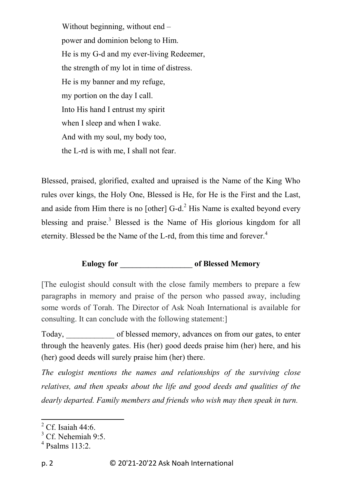Without beginning, without end – power and dominion belong to Him. He is my G-d and my ever-living Redeemer, the strength of my lot in time of distress. He is my banner and my refuge, my portion on the day I call. Into His hand I entrust my spirit when I sleep and when I wake. And with my soul, my body too, the L-rd is with me, I shall not fear.

Blessed, praised, glorified, exalted and upraised is the Name of the King Who rules over kings, the Holy One, Blessed is He, for He is the First and the Last, and aside from Him there is no [other]  $G-d<sup>2</sup>$  His Name is exalted beyond every blessing and praise.<sup>3</sup> Blessed is the Name of His glorious kingdom for all eternity. Blessed be the Name of the L-rd, from this time and forever.<sup>4</sup>

# **Eulogy for \_\_\_\_\_\_\_\_\_\_\_\_\_\_\_\_\_\_ of Blessed Memory**

[The eulogist should consult with the close family members to prepare a few paragraphs in memory and praise of the person who passed away, including some words of Torah. The Director of Ask Noah International is available for consulting. It can conclude with the following statement:]

Today, Today, the of blessed memory, advances on from our gates, to enter through the heavenly gates. His (her) good deeds praise him (her) here, and his (her) good deeds will surely praise him (her) there.

*The eulogist mentions the names and relationships of the surviving close relatives, and then speaks about the life and good deeds and qualities of the dearly departed. Family members and friends who wish may then speak in turn.*

 $\overline{a}$ 

 $<sup>2</sup>$  Cf. Isaiah 44:6.</sup>

 $3$  Cf. Nehemiah 9:5.

<sup>4</sup> Psalms 113:2.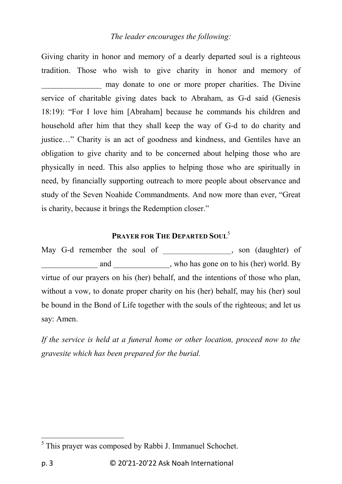## *The leader encourages the following:*

Giving charity in honor and memory of a dearly departed soul is a righteous tradition. Those who wish to give charity in honor and memory of may donate to one or more proper charities. The Divine service of charitable giving dates back to Abraham, as G-d said (Genesis 18:19): "For I love him [Abraham] because he commands his children and household after him that they shall keep the way of G-d to do charity and justice…" Charity is an act of goodness and kindness, and Gentiles have an obligation to give charity and to be concerned about helping those who are physically in need. This also applies to helping those who are spiritually in need, by financially supporting outreach to more people about observance and study of the Seven Noahide Commandments. And now more than ever, "Great is charity, because it brings the Redemption closer."

# **PRAYER FOR THE DEPARTED SOUL**<sup>5</sup>

May G-d remember the soul of \_\_\_\_\_\_\_\_\_\_\_\_\_\_\_, son (daughter) of and and who has gone on to his (her) world. By virtue of our prayers on his (her) behalf, and the intentions of those who plan, without a vow, to donate proper charity on his (her) behalf, may his (her) soul be bound in the Bond of Life together with the souls of the righteous; and let us say: Amen.

*If the service is held at a funeral home or other location, proceed now to the gravesite which has been prepared for the burial.*

<sup>&</sup>lt;sup>5</sup> This prayer was composed by Rabbi J. Immanuel Schochet.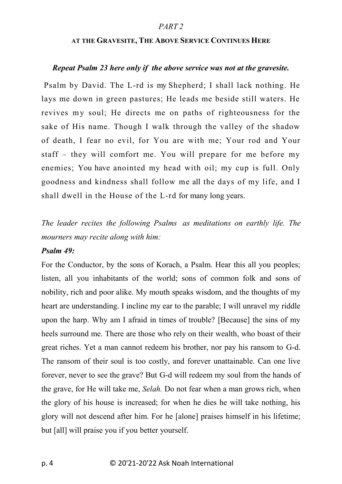### *PART 2*

#### **AT THE GRAVESITE, THE ABOVE SERVICE CONTINUES HERE**

#### *Repeat Psalm 23 here only if the above service was not at the gravesite.*

Psalm by David. The L-rd is my Shepherd; I shall lack nothing. He lays me down in green pastures; He leads me beside still waters. He revives my soul; He directs me on paths of righteousness for the sake of His name. Though I walk through the valley of the shadow of death, I fear no evil, for You are with me; Your rod and Your staff – they will comfort me. You will prepare for me before my enemies; You have anointed my head with oil; my cup is full. Only goodness and kindness shall follow me all the days of my life, and I shall dwell in the House of the L-rd for many long years.

*The leader recites the following Psalms as meditations on earthly life. The mourners may recite along with him:*

### *Psalm 49:*

For the Conductor, by the sons of Korach, a Psalm. Hear this all you peoples; listen, all you inhabitants of the world; sons of common folk and sons of nobility, rich and poor alike. My mouth speaks wisdom, and the thoughts of my heart are understanding. I incline my ear to the parable; I will unravel my riddle upon the harp. Why am I afraid in times of trouble? [Because] the sins of my heels surround me. There are those who rely on their wealth, who boast of their great riches. Yet a man cannot redeem his brother, nor pay his ransom to G-d. The ransom of their soul is too costly, and forever unattainable. Can one live forever, never to see the grave? But G-d will redeem my soul from the hands of the grave, for He will take me, *Selah.* Do not fear when a man grows rich, when the glory of his house is increased; for when he dies he will take nothing, his glory will not descend after him. For he [alone] praises himself in his lifetime; but [all] will praise you if you better yourself.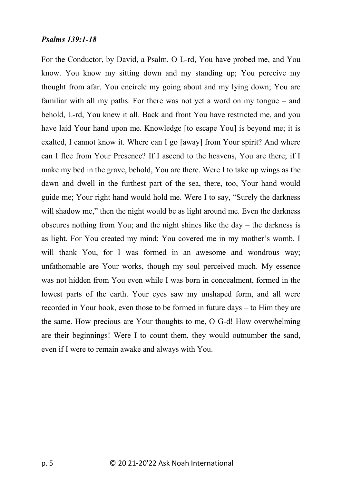#### *Psalms 139:1-18*

For the Conductor, by David, a Psalm. O L-rd, You have probed me, and You know. You know my sitting down and my standing up; You perceive my thought from afar. You encircle my going about and my lying down; You are familiar with all my paths. For there was not yet a word on my tongue – and behold, L-rd, You knew it all. Back and front You have restricted me, and you have laid Your hand upon me. Knowledge [to escape You] is beyond me; it is exalted, I cannot know it. Where can I go [away] from Your spirit? And where can I flee from Your Presence? If I ascend to the heavens, You are there; if I make my bed in the grave, behold, You are there. Were I to take up wings as the dawn and dwell in the furthest part of the sea, there, too, Your hand would guide me; Your right hand would hold me. Were I to say, "Surely the darkness will shadow me," then the night would be as light around me. Even the darkness obscures nothing from You; and the night shines like the day – the darkness is as light. For You created my mind; You covered me in my mother's womb. I will thank You, for I was formed in an awesome and wondrous way; unfathomable are Your works, though my soul perceived much. My essence was not hidden from You even while I was born in concealment, formed in the lowest parts of the earth. Your eyes saw my unshaped form, and all were recorded in Your book, even those to be formed in future days – to Him they are the same. How precious are Your thoughts to me, O G-d! How overwhelming are their beginnings! Were I to count them, they would outnumber the sand, even if I were to remain awake and always with You.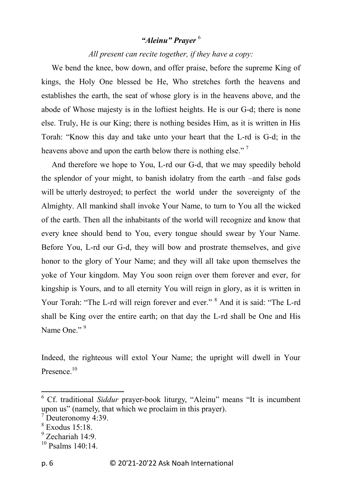## *"Aleinu" Prayer* <sup>6</sup>

### *All present can recite together, if they have a copy:*

We bend the knee, bow down, and offer praise, before the supreme King of kings, the Holy One blessed be He, Who stretches forth the heavens and establishes the earth, the seat of whose glory is in the heavens above, and the abode of Whose majesty is in the loftiest heights. He is our G-d; there is none else. Truly, He is our King; there is nothing besides Him, as it is written in His Torah: "Know this day and take unto your heart that the L-rd is G-d; in the heavens above and upon the earth below there is nothing else."<sup>7</sup>

And therefore we hope to You, L-rd our G-d, that we may speedily behold the splendor of your might, to banish idolatry from the earth –and false gods will be utterly destroyed; to perfect the world under the sovereignty of the Almighty. All mankind shall invoke Your Name, to turn to You all the wicked of the earth. Then all the inhabitants of the world will recognize and know that every knee should bend to You, every tongue should swear by Your Name. Before You, L-rd our G-d, they will bow and prostrate themselves, and give honor to the glory of Your Name; and they will all take upon themselves the yoke of Your kingdom. May You soon reign over them forever and ever, for kingship is Yours, and to all eternity You will reign in glory, as it is written in Your Torah: "The L-rd will reign forever and ever." <sup>8</sup> And it is said: "The L-rd shall be King over the entire earth; on that day the L-rd shall be One and His Name One."<sup>9</sup>

Indeed, the righteous will extol Your Name; the upright will dwell in Your Presence.<sup>10</sup>

<sup>6</sup> Cf. traditional *Siddur* prayer-book liturgy, "Aleinu" means "It is incumbent upon us" (namely, that which we proclaim in this prayer).

<sup>7</sup> Deuteronomy 4:39.

<sup>8</sup> Exodus 15:18.

<sup>&</sup>lt;sup>9</sup> Zechariah 14:9.

 $10$  Psalms 140:14.